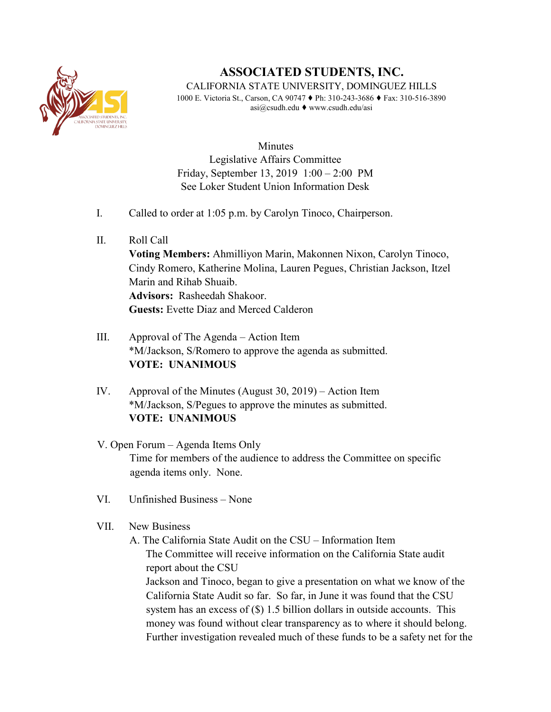

## **ASSOCIATED STUDENTS, INC.**

CALIFORNIA STATE UNIVERSITY, DOMINGUEZ HILLS 1000 E. Victoria St., Carson, CA 90747 ♦ Ph: 310-243-3686 ♦ Fax: 310-516-3890 asi@csudh.edu ♦ www.csudh.edu/asi

**Minutes** Legislative Affairs Committee Friday, September 13, 2019 1:00 – 2:00 PM See Loker Student Union Information Desk

- I. Called to order at 1:05 p.m. by Carolyn Tinoco, Chairperson.
- II. Roll Call

**Voting Members:** Ahmilliyon Marin, Makonnen Nixon, Carolyn Tinoco, Cindy Romero, Katherine Molina, Lauren Pegues, Christian Jackson, Itzel Marin and Rihab Shuaib. **Advisors:** Rasheedah Shakoor. **Guests:** Evette Diaz and Merced Calderon

- III. Approval of The Agenda Action Item \*M/Jackson, S/Romero to approve the agenda as submitted. **VOTE: UNANIMOUS**
- IV. Approval of the Minutes (August 30, 2019) Action Item \*M/Jackson, S/Pegues to approve the minutes as submitted. **VOTE: UNANIMOUS**
- V. Open Forum Agenda Items Only Time for members of the audience to address the Committee on specific agenda items only. None.
- VI. Unfinished Business None
- VII. New Business

A. The California State Audit on the CSU – Information Item The Committee will receive information on the California State audit report about the CSU Jackson and Tinoco, began to give a presentation on what we know of the California State Audit so far. So far, in June it was found that the CSU system has an excess of  $(\$)$  1.5 billion dollars in outside accounts. This money was found without clear transparency as to where it should belong. Further investigation revealed much of these funds to be a safety net for the